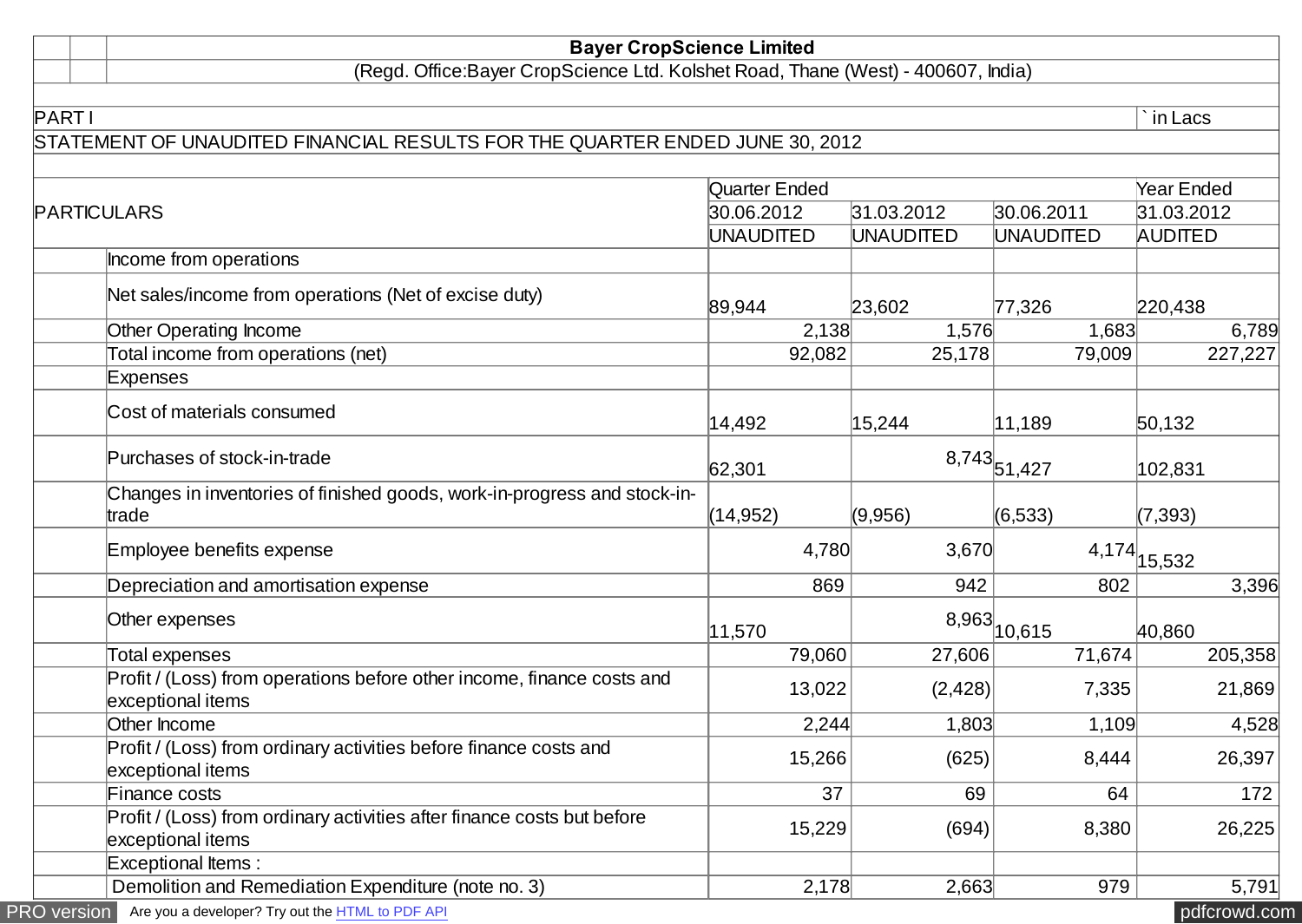## **Bayer CropScience Limited**

(Regd. Office:Bayer CropScience Ltd. Kolshet Road, Thane (West) - 400607, India)

## STATEMENT OF UNAUDITED FINANCIAL RESULTS FOR THE QUARTER ENDED JUNE 30, 2012

|                                                                                              | Quarter Ended    |            |                              | <b>Year Ended</b> |
|----------------------------------------------------------------------------------------------|------------------|------------|------------------------------|-------------------|
| PARTICULARS                                                                                  | 30.06.2012       | 31.03.2012 | 30.06.2011                   | 31.03.2012        |
|                                                                                              | <b>UNAUDITED</b> | UNAUDITED  | <b>UNAUDITED</b>             | <b>AUDITED</b>    |
| Income from operations                                                                       |                  |            |                              |                   |
| Net sales/income from operations (Net of excise duty)                                        | 89,944           | 23,602     | 77,326                       | 220,438           |
| Other Operating Income                                                                       | 2,138            | 1,576      | 1,683                        | 6,789             |
| Total income from operations (net)                                                           | 92,082           | 25,178     | 79,009                       | 227,227           |
| Expenses                                                                                     |                  |            |                              |                   |
| Cost of materials consumed                                                                   | 14,492           | 15,244     | 11,189                       | 50,132            |
| Purchases of stock-in-trade                                                                  | 62,301           |            | $8,743$ <sub>51,427</sub>    | 102,831           |
| Changes in inventories of finished goods, work-in-progress and stock-in-<br>trade            | (14, 952)        | (9,956)    | (6, 533)                     | (7, 393)          |
| Employee benefits expense                                                                    | 4,780            | 3,670      |                              | $4,174$ $15,532$  |
| Depreciation and amortisation expense                                                        | 869              | 942        | 802                          | 3,396             |
| Other expenses                                                                               | 11,570           |            | $8,963 _{10,\overline{615}}$ | 40,860            |
| Total expenses                                                                               | 79,060           | 27,606     | 71,674                       | 205,358           |
| Profit / (Loss) from operations before other income, finance costs and<br>exceptional items  | 13,022           | (2,428)    | 7,335                        | 21,869            |
| Other Income                                                                                 | 2,244            | 1,803      | 1,109                        | 4,528             |
| Profit / (Loss) from ordinary activities before finance costs and<br>exceptional items       | 15,266           | (625)      | 8,444                        | 26,397            |
| Finance costs                                                                                | 37               | 69         | 64                           | 172               |
| Profit / (Loss) from ordinary activities after finance costs but before<br>exceptional items | 15,229           | (694)      | 8,380                        | 26,225            |
| <b>Exceptional Items:</b>                                                                    |                  |            |                              |                   |
| Demolition and Remediation Expenditure (note no. 3)                                          | 2,178            | 2,663      | 979                          | 5,791             |

PART I  $\qquad \qquad \mid$  `in Lacs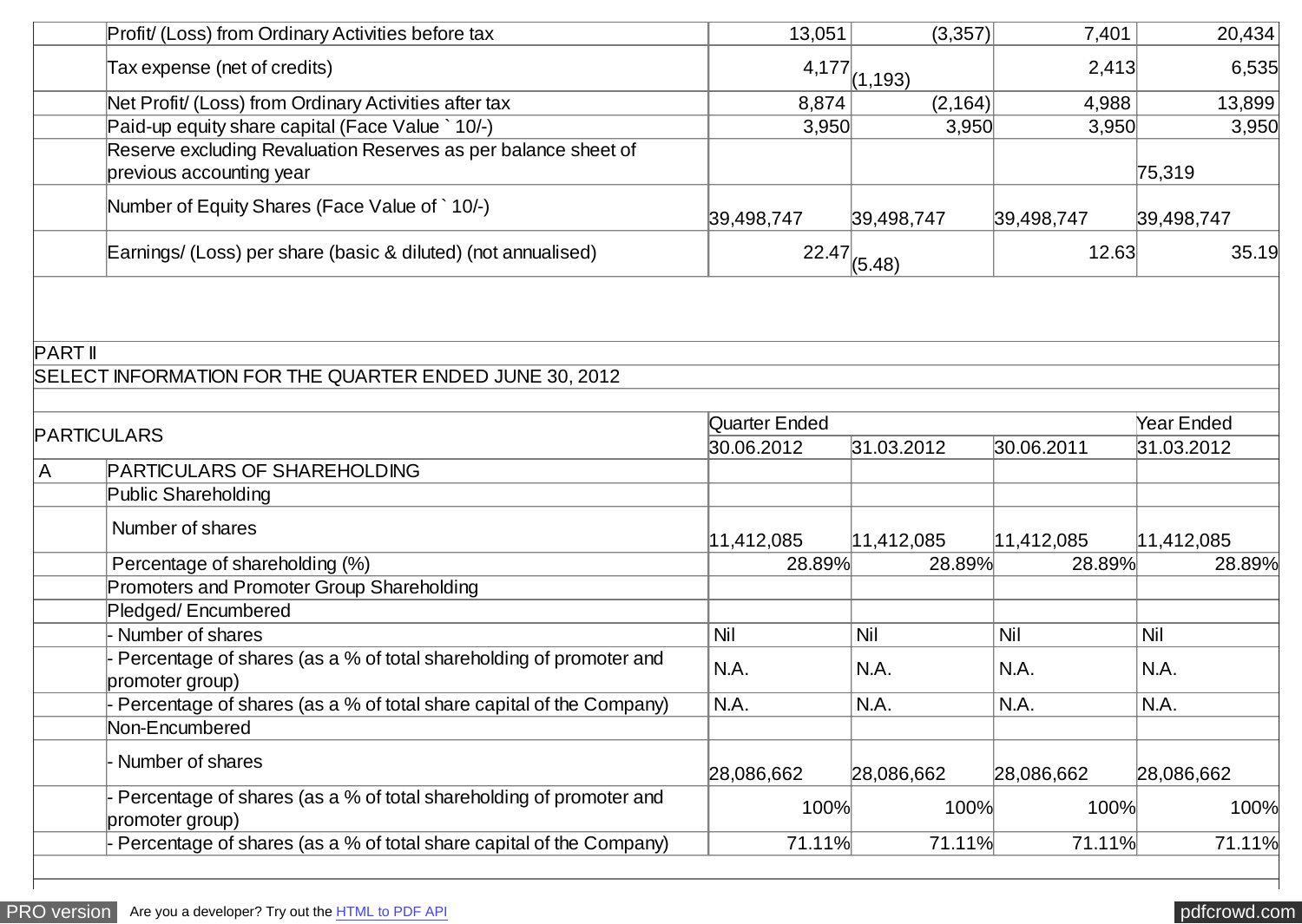| 6,535<br>$4,177$ $(1,193)$<br>2,413<br>Tax expense (net of credits)<br>Net Profit/ (Loss) from Ordinary Activities after tax<br>13,899<br>8,874<br>(2,164)<br>4,988<br>Paid-up equity share capital (Face Value `10/-)<br>3,950<br>3,950<br>3,950<br>3,950<br>Reserve excluding Revaluation Reserves as per balance sheet of<br>previous accounting year<br>75,319<br>Number of Equity Shares (Face Value of `10/-)<br>39,498,747<br>39,498,747<br>39,498,747<br>39,498,747<br>Earnings/ (Loss) per share (basic & diluted) (not annualised)<br>$22.47 _{(5.48)}$<br>12.63<br>35.19<br>SELECT INFORMATION FOR THE QUARTER ENDED JUNE 30, 2012<br>Quarter Ended<br><b>Year Ended</b><br><b>PARTICULARS</b><br>30.06.2012<br>31.03.2012<br>30.06.2011<br>31.03.2012<br>PARTICULARS OF SHAREHOLDING<br>A<br>Public Shareholding<br>Number of shares<br> 11,412,085<br> 11,412,085<br> 11,412,085<br>11,412,085<br>Percentage of shareholding (%)<br>28.89%<br>28.89%<br>28.89%<br>28.89%<br>Promoters and Promoter Group Shareholding<br>Pledged/Encumbered<br>Nil<br>Nil<br>Number of shares<br>Nil<br>Nil<br>Percentage of shares (as a % of total shareholding of promoter and<br>N.A.<br>N.A.<br>N.A.<br>N.A.<br>promoter group)<br>Percentage of shares (as a % of total share capital of the Company)<br>N.A.<br>N.A.<br>N.A.<br>N.A.<br>Non-Encumbered<br>Number of shares<br>28,086,662<br>28,086,662<br>28,086,662<br>28,086,662<br>Percentage of shares (as a % of total shareholding of promoter and<br>100%<br>100%<br>100%<br>promoter group)<br>Percentage of shares (as a % of total share capital of the Company)<br>71.11%<br>71.11%<br>71.11%<br>71.11% |                | Profit/ (Loss) from Ordinary Activities before tax | 13,051 | (3,357) | 7,401 | 20,434 |
|------------------------------------------------------------------------------------------------------------------------------------------------------------------------------------------------------------------------------------------------------------------------------------------------------------------------------------------------------------------------------------------------------------------------------------------------------------------------------------------------------------------------------------------------------------------------------------------------------------------------------------------------------------------------------------------------------------------------------------------------------------------------------------------------------------------------------------------------------------------------------------------------------------------------------------------------------------------------------------------------------------------------------------------------------------------------------------------------------------------------------------------------------------------------------------------------------------------------------------------------------------------------------------------------------------------------------------------------------------------------------------------------------------------------------------------------------------------------------------------------------------------------------------------------------------------------------------------------------------------------------------------------------------------------|----------------|----------------------------------------------------|--------|---------|-------|--------|
|                                                                                                                                                                                                                                                                                                                                                                                                                                                                                                                                                                                                                                                                                                                                                                                                                                                                                                                                                                                                                                                                                                                                                                                                                                                                                                                                                                                                                                                                                                                                                                                                                                                                        |                |                                                    |        |         |       |        |
|                                                                                                                                                                                                                                                                                                                                                                                                                                                                                                                                                                                                                                                                                                                                                                                                                                                                                                                                                                                                                                                                                                                                                                                                                                                                                                                                                                                                                                                                                                                                                                                                                                                                        |                |                                                    |        |         |       |        |
|                                                                                                                                                                                                                                                                                                                                                                                                                                                                                                                                                                                                                                                                                                                                                                                                                                                                                                                                                                                                                                                                                                                                                                                                                                                                                                                                                                                                                                                                                                                                                                                                                                                                        |                |                                                    |        |         |       |        |
|                                                                                                                                                                                                                                                                                                                                                                                                                                                                                                                                                                                                                                                                                                                                                                                                                                                                                                                                                                                                                                                                                                                                                                                                                                                                                                                                                                                                                                                                                                                                                                                                                                                                        |                |                                                    |        |         |       |        |
|                                                                                                                                                                                                                                                                                                                                                                                                                                                                                                                                                                                                                                                                                                                                                                                                                                                                                                                                                                                                                                                                                                                                                                                                                                                                                                                                                                                                                                                                                                                                                                                                                                                                        |                |                                                    |        |         |       |        |
|                                                                                                                                                                                                                                                                                                                                                                                                                                                                                                                                                                                                                                                                                                                                                                                                                                                                                                                                                                                                                                                                                                                                                                                                                                                                                                                                                                                                                                                                                                                                                                                                                                                                        |                |                                                    |        |         |       |        |
|                                                                                                                                                                                                                                                                                                                                                                                                                                                                                                                                                                                                                                                                                                                                                                                                                                                                                                                                                                                                                                                                                                                                                                                                                                                                                                                                                                                                                                                                                                                                                                                                                                                                        |                |                                                    |        |         |       |        |
| 100%                                                                                                                                                                                                                                                                                                                                                                                                                                                                                                                                                                                                                                                                                                                                                                                                                                                                                                                                                                                                                                                                                                                                                                                                                                                                                                                                                                                                                                                                                                                                                                                                                                                                   | <b>PART II</b> |                                                    |        |         |       |        |
|                                                                                                                                                                                                                                                                                                                                                                                                                                                                                                                                                                                                                                                                                                                                                                                                                                                                                                                                                                                                                                                                                                                                                                                                                                                                                                                                                                                                                                                                                                                                                                                                                                                                        |                |                                                    |        |         |       |        |
|                                                                                                                                                                                                                                                                                                                                                                                                                                                                                                                                                                                                                                                                                                                                                                                                                                                                                                                                                                                                                                                                                                                                                                                                                                                                                                                                                                                                                                                                                                                                                                                                                                                                        |                |                                                    |        |         |       |        |
|                                                                                                                                                                                                                                                                                                                                                                                                                                                                                                                                                                                                                                                                                                                                                                                                                                                                                                                                                                                                                                                                                                                                                                                                                                                                                                                                                                                                                                                                                                                                                                                                                                                                        |                |                                                    |        |         |       |        |
|                                                                                                                                                                                                                                                                                                                                                                                                                                                                                                                                                                                                                                                                                                                                                                                                                                                                                                                                                                                                                                                                                                                                                                                                                                                                                                                                                                                                                                                                                                                                                                                                                                                                        |                |                                                    |        |         |       |        |
|                                                                                                                                                                                                                                                                                                                                                                                                                                                                                                                                                                                                                                                                                                                                                                                                                                                                                                                                                                                                                                                                                                                                                                                                                                                                                                                                                                                                                                                                                                                                                                                                                                                                        |                |                                                    |        |         |       |        |
|                                                                                                                                                                                                                                                                                                                                                                                                                                                                                                                                                                                                                                                                                                                                                                                                                                                                                                                                                                                                                                                                                                                                                                                                                                                                                                                                                                                                                                                                                                                                                                                                                                                                        |                |                                                    |        |         |       |        |
|                                                                                                                                                                                                                                                                                                                                                                                                                                                                                                                                                                                                                                                                                                                                                                                                                                                                                                                                                                                                                                                                                                                                                                                                                                                                                                                                                                                                                                                                                                                                                                                                                                                                        |                |                                                    |        |         |       |        |
|                                                                                                                                                                                                                                                                                                                                                                                                                                                                                                                                                                                                                                                                                                                                                                                                                                                                                                                                                                                                                                                                                                                                                                                                                                                                                                                                                                                                                                                                                                                                                                                                                                                                        |                |                                                    |        |         |       |        |
|                                                                                                                                                                                                                                                                                                                                                                                                                                                                                                                                                                                                                                                                                                                                                                                                                                                                                                                                                                                                                                                                                                                                                                                                                                                                                                                                                                                                                                                                                                                                                                                                                                                                        |                |                                                    |        |         |       |        |
|                                                                                                                                                                                                                                                                                                                                                                                                                                                                                                                                                                                                                                                                                                                                                                                                                                                                                                                                                                                                                                                                                                                                                                                                                                                                                                                                                                                                                                                                                                                                                                                                                                                                        |                |                                                    |        |         |       |        |
|                                                                                                                                                                                                                                                                                                                                                                                                                                                                                                                                                                                                                                                                                                                                                                                                                                                                                                                                                                                                                                                                                                                                                                                                                                                                                                                                                                                                                                                                                                                                                                                                                                                                        |                |                                                    |        |         |       |        |
|                                                                                                                                                                                                                                                                                                                                                                                                                                                                                                                                                                                                                                                                                                                                                                                                                                                                                                                                                                                                                                                                                                                                                                                                                                                                                                                                                                                                                                                                                                                                                                                                                                                                        |                |                                                    |        |         |       |        |
|                                                                                                                                                                                                                                                                                                                                                                                                                                                                                                                                                                                                                                                                                                                                                                                                                                                                                                                                                                                                                                                                                                                                                                                                                                                                                                                                                                                                                                                                                                                                                                                                                                                                        |                |                                                    |        |         |       |        |
|                                                                                                                                                                                                                                                                                                                                                                                                                                                                                                                                                                                                                                                                                                                                                                                                                                                                                                                                                                                                                                                                                                                                                                                                                                                                                                                                                                                                                                                                                                                                                                                                                                                                        |                |                                                    |        |         |       |        |
|                                                                                                                                                                                                                                                                                                                                                                                                                                                                                                                                                                                                                                                                                                                                                                                                                                                                                                                                                                                                                                                                                                                                                                                                                                                                                                                                                                                                                                                                                                                                                                                                                                                                        |                |                                                    |        |         |       |        |